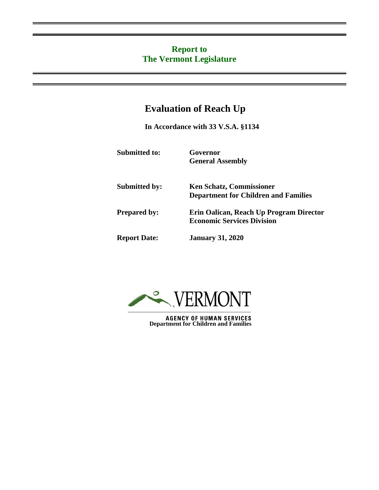## **Report to The Vermont Legislature**

## **Evaluation of Reach Up**

**In Accordance with 33 V.S.A. §1134**

**Submitted to: Governor**

**General Assembly**

**Submitted by: Ken Schatz, Commissioner Department for Children and Families Prepared by: Erin Oalican, Reach Up Program Director Economic Services Division Report Date: January 31, 2020**



**AGENCY OF HUMAN SERVICES Department for Children and Families**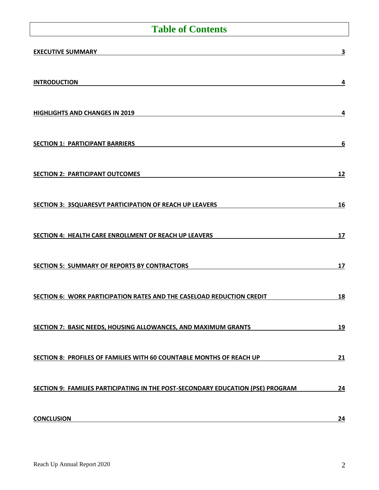# **Table of Contents**

| <b>EXECUTIVE SUMMARY</b>                                                        | 3         |
|---------------------------------------------------------------------------------|-----------|
| <b>INTRODUCTION</b>                                                             | 4         |
| <b>HIGHLIGHTS AND CHANGES IN 2019</b>                                           | 4         |
| <b>SECTION 1: PARTICIPANT BARRIERS</b>                                          | 6         |
| <b>SECTION 2: PARTICIPANT OUTCOMES</b>                                          | 12        |
| SECTION 3: 3SQUARESVT PARTICIPATION OF REACH UP LEAVERS                         | <u>16</u> |
| SECTION 4: HEALTH CARE ENROLLMENT OF REACH UP LEAVERS                           | 17        |
| <b>SECTION 5: SUMMARY OF REPORTS BY CONTRACTORS</b>                             | 17        |
| SECTION 6: WORK PARTICIPATION RATES AND THE CASELOAD REDUCTION CREDIT           | 18        |
| SECTION 7: BASIC NEEDS, HOUSING ALLOWANCES, AND MAXIMUM GRANTS                  | 19        |
| SECTION 8: PROFILES OF FAMILIES WITH 60 COUNTABLE MONTHS OF REACH UP            | 21        |
| SECTION 9: FAMILIES PARTICIPATING IN THE POST-SECONDARY EDUCATION (PSE) PROGRAM | 24        |
| <b>CONCLUSION</b>                                                               | 24        |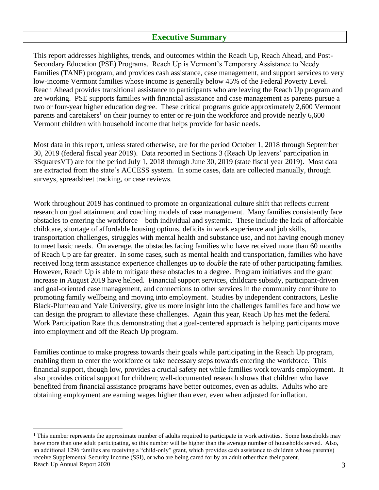#### **Executive Summary**

<span id="page-2-0"></span>This report addresses highlights, trends, and outcomes within the Reach Up, Reach Ahead, and Post-Secondary Education (PSE) Programs. Reach Up is Vermont's Temporary Assistance to Needy Families (TANF) program, and provides cash assistance, case management, and support services to very low-income Vermont families whose income is generally below 45% of the Federal Poverty Level. Reach Ahead provides transitional assistance to participants who are leaving the Reach Up program and are working. PSE supports families with financial assistance and case management as parents pursue a two or four-year higher education degree. These critical programs guide approximately 2,600 Vermont parents and caretakers<sup>1</sup> on their journey to enter or re-join the workforce and provide nearly 6,600 Vermont children with household income that helps provide for basic needs.

Most data in this report, unless stated otherwise, are for the period October 1, 2018 through September 30, 2019 (federal fiscal year 2019). Data reported in Sections 3 (Reach Up leavers' participation in 3SquaresVT) are for the period July 1, 2018 through June 30, 2019 (state fiscal year 2019). Most data are extracted from the state's ACCESS system. In some cases, data are collected manually, through surveys, spreadsheet tracking, or case reviews.

Work throughout 2019 has continued to promote an organizational culture shift that reflects current research on goal attainment and coaching models of case management. Many families consistently face obstacles to entering the workforce – both individual and systemic. These include the lack of affordable childcare, shortage of affordable housing options, deficits in work experience and job skills, transportation challenges, struggles with mental health and substance use, and not having enough money to meet basic needs. On average, the obstacles facing families who have received more than 60 months of Reach Up are far greater. In some cases, such as mental health and transportation, families who have received long term assistance experience challenges up to *double* the rate of other participating families. However, Reach Up is able to mitigate these obstacles to a degree. Program initiatives and the grant increase in August 2019 have helped. Financial support services, childcare subsidy, participant-driven and goal-oriented case management, and connections to other services in the community contribute to promoting family wellbeing and moving into employment. Studies by independent contractors, Leslie Black-Plumeau and Yale University, give us more insight into the challenges families face and how we can design the program to alleviate these challenges. Again this year, Reach Up has met the federal Work Participation Rate thus demonstrating that a goal-centered approach is helping participants move into employment and off the Reach Up program.

Families continue to make progress towards their goals while participating in the Reach Up program, enabling them to enter the workforce or take necessary steps towards entering the workforce. This financial support, though low, provides a crucial safety net while families work towards employment. It also provides critical support for children; well-documented research shows that children who have benefited from financial assistance programs have better outcomes, even as adults. Adults who are obtaining employment are earning wages higher than ever, even when adjusted for inflation.

Reach Up Annual Report 2020 3  $<sup>1</sup>$  This number represents the approximate number of adults required to participate in work activities. Some households may</sup> have more than one adult participating, so this number will be higher than the average number of households served. Also, an additional 1296 families are receiving a "child-only" grant, which provides cash assistance to children whose parent(s) receive Supplemental Security Income (SSI), or who are being cared for by an adult other than their parent.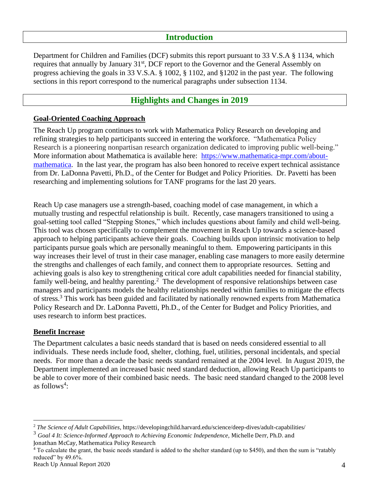### **Introduction**

<span id="page-3-0"></span>Department for Children and Families (DCF) submits this report pursuant to 33 V.S.A § 1134, which requires that annually by January 31<sup>st</sup>, DCF report to the Governor and the General Assembly on progress achieving the goals in 33 V.S.A. § 1002, § 1102, and §1202 in the past year. The following sections in this report correspond to the numerical paragraphs under subsection 1134.

## **Highlights and Changes in 2019**

#### <span id="page-3-1"></span>**Goal-Oriented Coaching Approach**

The Reach Up program continues to work with Mathematica Policy Research on developing and refining strategies to help participants succeed in entering the workforce. "Mathematica Policy Research is a pioneering nonpartisan research organization dedicated to improving public well-being." More information about Mathematica is available here: [https://www.mathematica-mpr.com/about](https://www.mathematica-mpr.com/about-mathematica)[mathematica.](https://www.mathematica-mpr.com/about-mathematica) In the last year, the program has also been honored to receive expert technical assistance from Dr. LaDonna Pavetti, Ph.D., of the Center for Budget and Policy Priorities. Dr. Pavetti has been researching and implementing solutions for TANF programs for the last 20 years.

Reach Up case managers use a strength-based, coaching model of case management, in which a mutually trusting and respectful relationship is built. Recently, case managers transitioned to using a goal-setting tool called "Stepping Stones," which includes questions about family and child well-being. This tool was chosen specifically to complement the movement in Reach Up towards a science-based approach to helping participants achieve their goals. Coaching builds upon intrinsic motivation to help participants pursue goals which are personally meaningful to them. Empowering participants in this way increases their level of trust in their case manager, enabling case managers to more easily determine the strengths and challenges of each family, and connect them to appropriate resources. Setting and achieving goals is also key to strengthening critical core adult capabilities needed for financial stability, family well-being, and healthy parenting.<sup>2</sup> The development of responsive relationships between case managers and participants models the healthy relationships needed within families to mitigate the effects of stress.<sup>3</sup> This work has been guided and facilitated by nationally renowned experts from Mathematica Policy Research and Dr. LaDonna Pavetti, Ph.D., of the Center for Budget and Policy Priorities, and uses research to inform best practices.

#### **Benefit Increase**

The Department calculates a basic needs standard that is based on needs considered essential to all individuals. These needs include food, shelter, clothing, fuel, utilities, personal incidentals, and special needs. For more than a decade the basic needs standard remained at the 2004 level. In August 2019, the Department implemented an increased basic need standard deduction, allowing Reach Up participants to be able to cover more of their combined basic needs. The basic need standard changed to the 2008 level as follows<sup>4</sup>:

<sup>2</sup> *The Science of Adult Capabilities*, https://developingchild.harvard.edu/science/deep-dives/adult-capabilities/

<sup>3</sup> *Goal 4 It: Science-Informed Approach to Achieving Economic Independence,* Michelle Derr, Ph.D. and Jonathan McCay, Mathematica Policy Research

<sup>&</sup>lt;sup>4</sup> To calculate the grant, the basic needs standard is added to the shelter standard (up to \$450), and then the sum is "ratably reduced" by 49.6%.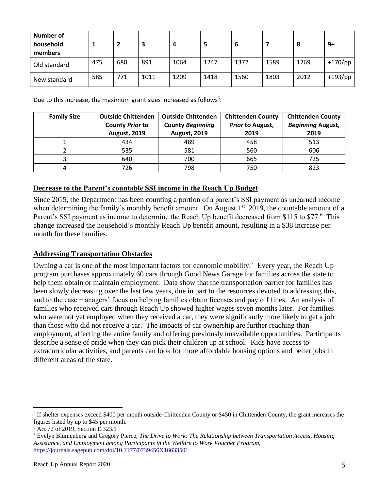| <b>Number of</b><br>household<br>members |     | 2   | 3    | 4    | 5    | b    |      | 8    | 9+         |
|------------------------------------------|-----|-----|------|------|------|------|------|------|------------|
| Old standard                             | 475 | 680 | 891  | 1064 | 1247 | 1372 | 1589 | 1769 | $+170$ /pp |
| New standard                             | 585 | 771 | 1011 | 1209 | 1418 | 1560 | 1803 | 2012 | $+193$ /pp |

Due to this increase, the maximum grant sizes increased as follows<sup>5</sup>:

| <b>Family Size</b> | <b>Outside Chittenden</b><br><b>County Prior to</b><br><b>August, 2019</b> | <b>Outside Chittenden</b><br><b>County Beginning</b><br><b>August, 2019</b> | <b>Chittenden County</b><br><b>Prior to August,</b><br>2019 | <b>Chittenden County</b><br><b>Beginning August,</b><br>2019 |
|--------------------|----------------------------------------------------------------------------|-----------------------------------------------------------------------------|-------------------------------------------------------------|--------------------------------------------------------------|
|                    | 434                                                                        | 489                                                                         | 458                                                         | 513                                                          |
|                    | 535                                                                        | 581                                                                         | 560                                                         | 606                                                          |
|                    | 640                                                                        | 700                                                                         | 665                                                         | 725                                                          |
|                    | 726                                                                        | 798                                                                         | 750                                                         | 823                                                          |

#### **Decrease to the Parent's countable SSI income in the Reach Up Budget**

Since 2015, the Department has been counting a portion of a parent's SSI payment as unearned income when determining the family's monthly benefit amount. On August 1<sup>st</sup>, 2019, the countable amount of a Parent's SSI payment as income to determine the Reach Up benefit decreased from \$115 to \$77.<sup>6</sup> This change increased the household's monthly Reach Up benefit amount, resulting in a \$38 increase per month for these families.

#### **Addressing Transportation Obstacles**

Owning a car is one of the most important factors for economic mobility.<sup>7</sup> Every year, the Reach Up program purchases approximately 60 cars through Good News Garage for families across the state to help them obtain or maintain employment. Data show that the transportation barrier for families has been slowly decreasing over the last few years, due in part to the resources devoted to addressing this, and to the case managers' focus on helping families obtain licenses and pay off fines. An analysis of families who received cars through Reach Up showed higher wages seven months later. For families who were not yet employed when they received a car, they were significantly more likely to get a job than those who did not receive a car. The impacts of car ownership are further reaching than employment, affecting the entire family and offering previously unavailable opportunities. Participants describe a sense of pride when they can pick their children up at school. Kids have access to extracurricular activities, and parents can look for more affordable housing options and better jobs in different areas of the state.

 $<sup>5</sup>$  If shelter expenses exceed \$400 per month outside Chittenden County or \$450 in Chittenden County, the grant increases the</sup> figures listed by up to \$45 per month.

<sup>6</sup> Act 72 of 2019, Section E.323.1

<sup>7</sup> Evelyn Blumenberg and Gregory Pierce, *The Drive to Work: The Relationship between Transportation Access, Housing Assistance, and Employment among Participants in the Welfare to Work Voucher Program,*  <https://journals.sagepub.com/doi/10.1177/0739456X16633501>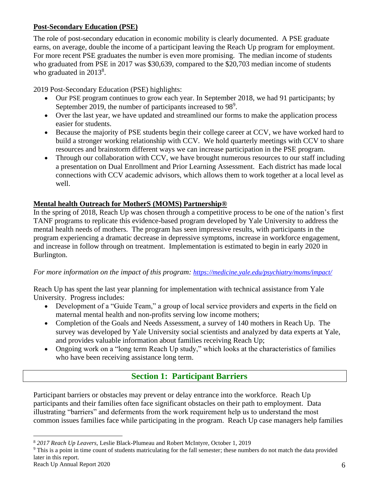### **Post-Secondary Education (PSE)**

The role of post-secondary education in economic mobility is clearly documented. A PSE graduate earns, on average, double the income of a participant leaving the Reach Up program for employment. For more recent PSE graduates the number is even more promising. The median income of students who graduated from PSE in 2017 was \$30,639, compared to the \$20,703 median income of students who graduated in  $2013^8$ .

2019 Post-Secondary Education (PSE) highlights:

- Our PSE program continues to grow each year. In September 2018, we had 91 participants; by September 2019, the number of participants increased to 98<sup>9</sup>.
- Over the last year, we have updated and streamlined our forms to make the application process easier for students.
- Because the majority of PSE students begin their college career at CCV, we have worked hard to build a stronger working relationship with CCV. We hold quarterly meetings with CCV to share resources and brainstorm different ways we can increase participation in the PSE program.
- Through our collaboration with CCV, we have brought numerous resources to our staff including a presentation on Dual Enrollment and Prior Learning Assessment. Each district has made local connections with CCV academic advisors, which allows them to work together at a local level as well.

## **Mental health [Outreach for MotherS \(MOMS\) Partnership®](file:///C:/psychiatry/moms)**

In the spring of 2018, Reach Up was chosen through a competitive process to be one of the nation's first TANF programs to replicate this evidence-based program developed by Yale University to address the mental health needs of mothers. The program has seen impressive results, with participants in the program experiencing a dramatic decrease in depressive symptoms, increase in workforce engagement, and increase in follow through on treatment. Implementation is estimated to begin in early 2020 in Burlington.

### *For more information on the impact of this program: <https://medicine.yale.edu/psychiatry/moms/impact/>*

Reach Up has spent the last year planning for implementation with technical assistance from Yale University. Progress includes:

- Development of a "Guide Team," a group of local service providers and experts in the field on maternal mental health and non-profits serving low income mothers;
- Completion of the Goals and Needs Assessment, a survey of 140 mothers in Reach Up. The survey was developed by Yale University social scientists and analyzed by data experts at Yale, and provides valuable information about families receiving Reach Up;
- Ongoing work on a "long term Reach Up study," which looks at the characteristics of families who have been receiving assistance long term.

## **Section 1: Participant Barriers**

<span id="page-5-0"></span>Participant barriers or obstacles may prevent or delay entrance into the workforce. Reach Up participants and their families often face significant obstacles on their path to employment. Data illustrating "barriers" and deferments from the work requirement help us to understand the most common issues families face while participating in the program. Reach Up case managers help families

<sup>8</sup> *2017 Reach Up Leavers,* Leslie Black-Plumeau and Robert McIntyre, October 1, 2019

<sup>9</sup> This is a point in time count of students matriculating for the fall semester; these numbers do not match the data provided later in this report.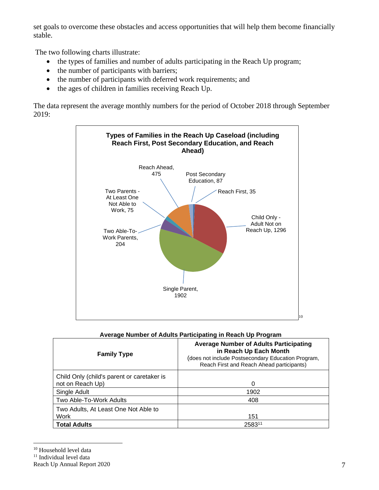set goals to overcome these obstacles and access opportunities that will help them become financially stable.

The two following charts illustrate:

- the types of families and number of adults participating in the Reach Up program;
- the number of participants with barriers;
- the number of participants with deferred work requirements; and
- the ages of children in families receiving Reach Up.

The data represent the average monthly numbers for the period of October 2018 through September 2019:



#### **Average Number of Adults Participating in Reach Up Program**

| <b>Family Type</b>                                             | <b>Average Number of Adults Participating</b><br>in Reach Up Each Month<br>(does not include Postsecondary Education Program,<br>Reach First and Reach Ahead participants) |
|----------------------------------------------------------------|----------------------------------------------------------------------------------------------------------------------------------------------------------------------------|
| Child Only (child's parent or caretaker is<br>not on Reach Up) | 0                                                                                                                                                                          |
| Single Adult                                                   | 1902                                                                                                                                                                       |
| Two Able-To-Work Adults                                        | 408                                                                                                                                                                        |
| Two Adults, At Least One Not Able to<br>Work                   | 151                                                                                                                                                                        |
| <b>Total Adults</b>                                            | 258311                                                                                                                                                                     |

<sup>&</sup>lt;sup>10</sup> Household level data

 $^{\rm 11}$  Individual level data

Reach Up Annual Report 2020 7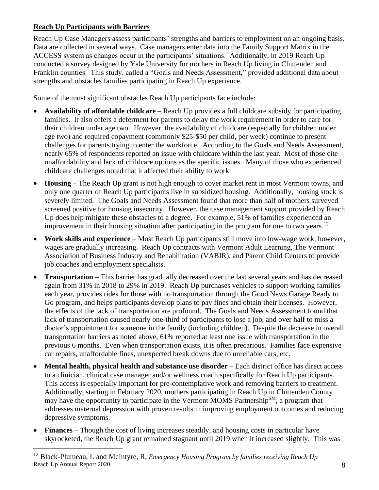### **Reach Up Participants with Barriers**

Reach Up Case Managers assess participants' strengths and barriers to employment on an ongoing basis. Data are collected in several ways. Case managers enter data into the Family Support Matrix in the ACCESS system as changes occur in the participants' situations. Additionally, in 2019 Reach Up conducted a survey designed by Yale University for mothers in Reach Up living in Chittenden and Franklin counties. This study, called a "Goals and Needs Assessment," provided additional data about strengths and obstacles families participating in Reach Up experience.

Some of the most significant obstacles Reach Up participants face include:

- **Availability of affordable childcare**  Reach Up provides a full childcare subsidy for participating families. It also offers a deferment for parents to delay the work requirement in order to care for their children under age two. However, the availability of childcare (especially for children under age two) and required copayment (commonly \$25-\$50 per child, per week) continue to present challenges for parents trying to enter the workforce. According to the Goals and Needs Assessment, nearly 65% of respondents reported an issue with childcare within the last year. Most of those cite unaffordability and lack of childcare options as the specific issues. Many of those who experienced childcare challenges noted that it affected their ability to work.
- **Housing** The Reach Up grant is not high enough to cover market rent in most Vermont towns, and only one quarter of Reach Up participants live in subsidized housing. Additionally, housing stock is severely limited. The Goals and Needs Assessment found that more than half of mothers surveyed screened positive for housing insecurity. However, the case management support provided by Reach Up does help mitigate these obstacles to a degree. For example, 51% of families experienced an improvement in their housing situation after participating in the program for one to two years.<sup>12</sup>
- **Work skills and experience**  Most Reach Up participants still move into low-wage work, however, wages are gradually increasing. Reach Up contracts with Vermont Adult Learning, The Vermont Association of Business Industry and Rehabilitation (VABIR), and Parent Child Centers to provide job coaches and employment specialists.
- **Transportation** This barrier has gradually decreased over the last several years and has decreased again from 31% in 2018 to 29% in 2019. Reach Up purchases vehicles to support working families each year, provides rides for those with no transportation through the Good News Garage Ready to Go program, and helps participants develop plans to pay fines and obtain their licenses. However, the effects of the lack of transportation are profound. The Goals and Needs Assessment found that lack of transportation caused nearly one-third of participants to lose a job, and over half to miss a doctor's appointment for someone in the family (including children). Despite the decrease in overall transportation barriers as noted above, 61% reported at least one issue with transportation in the previous 6 months. Even when transportation exists, it is often precarious. Families face expensive car repairs, unaffordable fines, unexpected break downs due to unreliable cars, etc.
- **Mental health, physical health and substance use disorder** Each district office has direct access to a clinician, clinical case manager and/or wellness coach specifically for Reach Up participants. This access is especially important for pre-contemplative work and removing barriers to treatment. Additionally, starting in February 2020, mothers participating in Reach Up in Chittenden County may have the opportunity to participate in the Vermont MOMS Partnership<sup>SM</sup>, a program that addresses maternal depression with proven results in improving employment outcomes and reducing depressive symptoms.
- **Finances** Though the cost of living increases steadily, and housing costs in particular have skyrocketed, the Reach Up grant remained stagnant until 2019 when it increased slightly. This was

Reach Up Annual Report 2020 8 <sup>12</sup> Black-Plumeau, L and McIntyre, R, *Emergency Housing Program by families receiving Reach Up*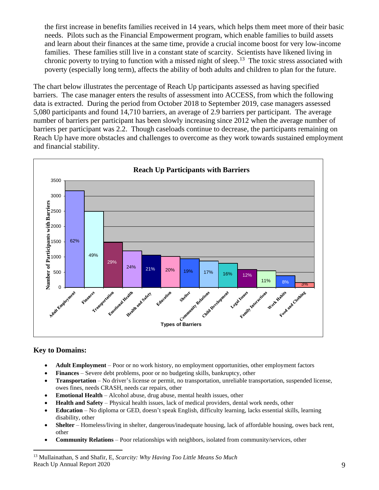the first increase in benefits families received in 14 years, which helps them meet more of their basic needs. Pilots such as the Financial Empowerment program, which enable families to build assets and learn about their finances at the same time, provide a crucial income boost for very low-income families. These families still live in a constant state of scarcity. Scientists have likened living in chronic poverty to trying to function with a missed night of sleep.<sup>13</sup> The toxic stress associated with poverty (especially long term), affects the ability of both adults and children to plan for the future.

The chart below illustrates the percentage of Reach Up participants assessed as having specified barriers. The case manager enters the results of assessment into ACCESS, from which the following data is extracted. During the period from October 2018 to September 2019, case managers assessed 5,080 participants and found 14,710 barriers, an average of 2.9 barriers per participant. The average number of barriers per participant has been slowly increasing since 2012 when the average number of barriers per participant was 2.2. Though caseloads continue to decrease, the participants remaining on Reach Up have more obstacles and challenges to overcome as they work towards sustained employment and financial stability.



#### **Key to Domains:**

- **Adult Employment** Poor or no work history, no employment opportunities, other employment factors
- **Finances** Severe debt problems, poor or no budgeting skills, bankruptcy, other
- **Transportation** No driver's license or permit, no transportation, unreliable transportation, suspended license, owes fines, needs CRASH, needs car repairs, other
- **Emotional Health** Alcohol abuse, drug abuse, mental health issues, other
- **Health and Safety** Physical health issues, lack of medical providers, dental work needs, other
- **Education** No diploma or GED, doesn't speak English, difficulty learning, lacks essential skills, learning disability, other
- **Shelter** Homeless/living in shelter, dangerous/inadequate housing, lack of affordable housing, owes back rent, other
- **Community Relations** Poor relationships with neighbors, isolated from community/services, other

Reach Up Annual Report 2020 9 <sup>13</sup> Mullainathan, S and Shafir, E, *Scarcity: Why Having Too Little Means So Much*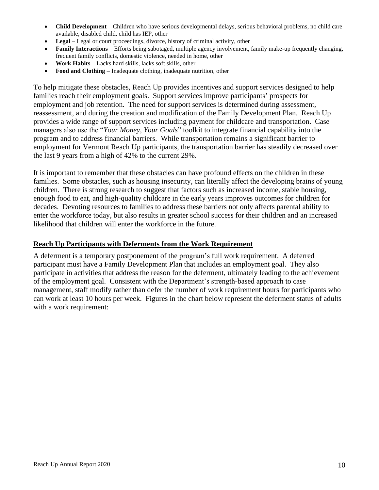- **Child Development** Children who have serious developmental delays, serious behavioral problems, no child care available, disabled child, child has IEP, other
- **Legal** Legal or court proceedings, divorce, history of criminal activity, other
- **Family Interactions** Efforts being sabotaged, multiple agency involvement, family make-up frequently changing, frequent family conflicts, domestic violence, needed in home, other
- **Work Habits** Lacks hard skills, lacks soft skills, other
- **Food and Clothing** Inadequate clothing, inadequate nutrition, other

To help mitigate these obstacles, Reach Up provides incentives and support services designed to help families reach their employment goals. Support services improve participants' prospects for employment and job retention. The need for support services is determined during assessment, reassessment, and during the creation and modification of the Family Development Plan. Reach Up provides a wide range of support services including payment for childcare and transportation. Case managers also use the "*Your Money, Your Goals*" toolkit to integrate financial capability into the program and to address financial barriers. While transportation remains a significant barrier to employment for Vermont Reach Up participants, the transportation barrier has steadily decreased over the last 9 years from a high of 42% to the current 29%.

It is important to remember that these obstacles can have profound effects on the children in these families. Some obstacles, such as housing insecurity, can literally affect the developing brains of young children. There is strong research to suggest that factors such as increased income, stable housing, enough food to eat, and high-quality childcare in the early years improves outcomes for children for decades. Devoting resources to families to address these barriers not only affects parental ability to enter the workforce today, but also results in greater school success for their children and an increased likelihood that children will enter the workforce in the future.

#### **Reach Up Participants with Deferments from the Work Requirement**

A deferment is a temporary postponement of the program's full work requirement. A deferred participant must have a Family Development Plan that includes an employment goal. They also participate in activities that address the reason for the deferment, ultimately leading to the achievement of the employment goal. Consistent with the Department's strength-based approach to case management, staff modify rather than defer the number of work requirement hours for participants who can work at least 10 hours per week. Figures in the chart below represent the deferment status of adults with a work requirement: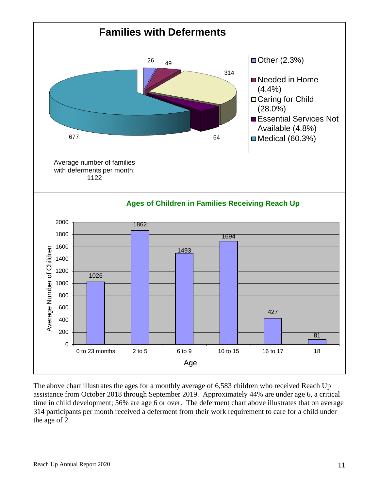

The above chart illustrates the ages for a monthly average of 6,583 children who received Reach Up assistance from October 2018 through September 2019. Approximately 44% are under age 6, a critical time in child development; 56% are age 6 or over. The deferment chart above illustrates that on average 314 participants per month received a deferment from their work requirement to care for a child under the age of 2.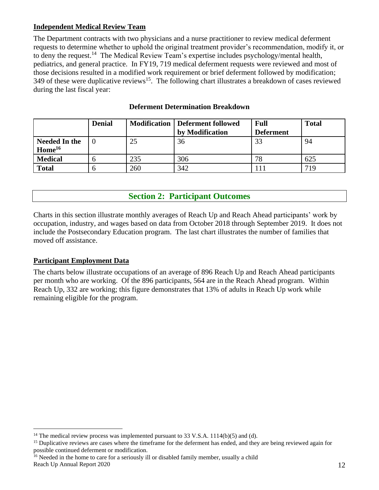### **Independent Medical Review Team**

The Department contracts with two physicians and a nurse practitioner to review medical deferment requests to determine whether to uphold the original treatment provider's recommendation, modify it, or to deny the request.<sup>14</sup> The Medical Review Team's expertise includes psychology/mental health, pediatrics, and general practice. In FY19, 719 medical deferment requests were reviewed and most of those decisions resulted in a modified work requirement or brief deferment followed by modification; 349 of these were duplicative reviews<sup>15</sup>. The following chart illustrates a breakdown of cases reviewed during the last fiscal year:

|                                            | <b>Denial</b> |     | <b>Modification   Deferment followed</b> | Full             | <b>Total</b> |
|--------------------------------------------|---------------|-----|------------------------------------------|------------------|--------------|
|                                            |               |     | by Modification                          | <b>Deferment</b> |              |
| <b>Needed In the</b><br>Home <sup>16</sup> |               | 25  | 36                                       | 33               | 94           |
| <b>Medical</b>                             |               | 235 | 306                                      | 78               | 625          |
| <b>Total</b>                               |               | 260 | 342                                      |                  | 719          |

#### **Deferment Determination Breakdown**

## **Section 2: Participant Outcomes**

<span id="page-11-0"></span>Charts in this section illustrate monthly averages of Reach Up and Reach Ahead participants' work by occupation, industry, and wages based on data from October 2018 through September 2019. It does not include the Postsecondary Education program. The last chart illustrates the number of families that moved off assistance.

#### **Participant Employment Data**

The charts below illustrate occupations of an average of 896 Reach Up and Reach Ahead participants per month who are working. Of the 896 participants, 564 are in the Reach Ahead program. Within Reach Up, 332 are working; this figure demonstrates that 13% of adults in Reach Up work while remaining eligible for the program.

Reach Up Annual Report 2020 12  $^{16}$  Needed in the home to care for a seriously ill or disabled family member, usually a child

<sup>&</sup>lt;sup>14</sup> The medical review process was implemented pursuant to 33 V.S.A. 1114(b)(5) and (d).

<sup>&</sup>lt;sup>15</sup> Duplicative reviews are cases where the timeframe for the deferment has ended, and they are being reviewed again for possible continued deferment or modification.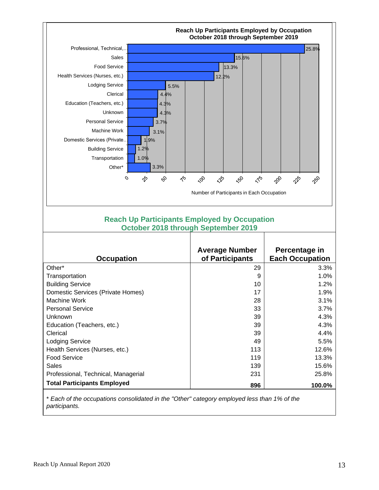

#### **Reach Up Participants Employed by Occupation October 2018 through September 2019**

| <b>Occupation</b>                   | <b>Average Number</b><br>of Participants | Percentage in<br><b>Each Occupation</b> |
|-------------------------------------|------------------------------------------|-----------------------------------------|
| Other*                              | 29                                       | 3.3%                                    |
| Transportation                      | 9                                        | 1.0%                                    |
| <b>Building Service</b>             | 10                                       | 1.2%                                    |
| Domestic Services (Private Homes)   | 17                                       | 1.9%                                    |
| Machine Work                        | 28                                       | 3.1%                                    |
| <b>Personal Service</b>             | 33                                       | 3.7%                                    |
| Unknown                             | 39                                       | 4.3%                                    |
| Education (Teachers, etc.)          | 39                                       | 4.3%                                    |
| Clerical                            | 39                                       | 4.4%                                    |
| <b>Lodging Service</b>              | 49                                       | 5.5%                                    |
| Health Services (Nurses, etc.)      | 113                                      | 12.6%                                   |
| <b>Food Service</b>                 | 119                                      | 13.3%                                   |
| <b>Sales</b>                        | 139                                      | 15.6%                                   |
| Professional, Technical, Managerial | 231                                      | 25.8%                                   |
| <b>Total Participants Employed</b>  | 896                                      | 100.0%                                  |
|                                     |                                          |                                         |

\* *Each of the occupations consolidated in the "Other" category employed less than 1% of the participants.*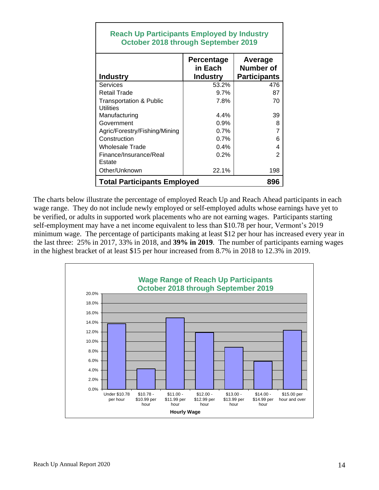| <b>Reach Up Participants Employed by Industry</b><br>October 2018 through September 2019 |                                          |                                                    |  |  |
|------------------------------------------------------------------------------------------|------------------------------------------|----------------------------------------------------|--|--|
| <b>Industry</b>                                                                          | Percentage<br>in Each<br><b>Industry</b> | Average<br><b>Number of</b><br><b>Participants</b> |  |  |
| Services                                                                                 | 53.2%                                    | 476                                                |  |  |
| <b>Retail Trade</b>                                                                      | 9.7%                                     | 87                                                 |  |  |
| <b>Transportation &amp; Public</b><br>Utilities                                          | 7.8%                                     | 70                                                 |  |  |
| Manufacturing                                                                            | 4.4%                                     | 39                                                 |  |  |
| Government                                                                               | 0.9%                                     | 8                                                  |  |  |
| Agric/Forestry/Fishing/Mining                                                            | 0.7%                                     | $\overline{7}$                                     |  |  |
| Construction                                                                             | 0.7%                                     | 6                                                  |  |  |
| <b>Wholesale Trade</b>                                                                   | 0.4%                                     | 4                                                  |  |  |
| Finance/Insurance/Real<br>Estate                                                         | 0.2%                                     | $\overline{2}$                                     |  |  |
| Other/Unknown                                                                            | 22.1%                                    | 198                                                |  |  |
| <b>Total Participants Employed</b><br>896                                                |                                          |                                                    |  |  |

The charts below illustrate the percentage of employed Reach Up and Reach Ahead participants in each wage range. They do not include newly employed or self-employed adults whose earnings have yet to be verified, or adults in supported work placements who are not earning wages. Participants starting self-employment may have a net income equivalent to less than \$10.78 per hour, Vermont's 2019 minimum wage. The percentage of participants making at least \$12 per hour has increased every year in the last three: 25% in 2017, 33% in 2018, and **39% in 2019**. The number of participants earning wages in the highest bracket of at least \$15 per hour increased from 8.7% in 2018 to 12.3% in 2019.

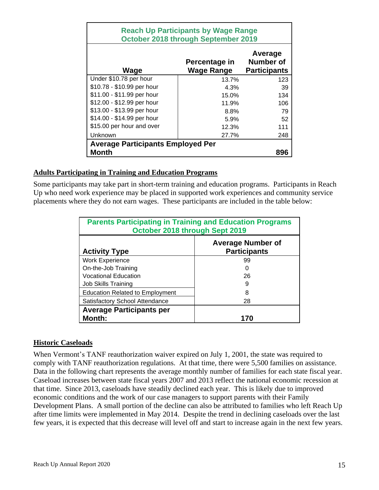| <b>Reach Up Participants by Wage Range</b><br>October 2018 through September 2019 |                             |                                                    |  |  |  |
|-----------------------------------------------------------------------------------|-----------------------------|----------------------------------------------------|--|--|--|
| Wage                                                                              | Percentage in<br>Wage Range | Average<br><b>Number of</b><br><b>Participants</b> |  |  |  |
| Under \$10.78 per hour                                                            | 13.7%                       | 123                                                |  |  |  |
| \$10.78 - \$10.99 per hour                                                        | 4.3%                        | 39                                                 |  |  |  |
| \$11.00 - \$11.99 per hour                                                        | 15.0%                       | 134                                                |  |  |  |
| \$12.00 - \$12.99 per hour                                                        | 11.9%                       | 106                                                |  |  |  |
| \$13.00 - \$13.99 per hour                                                        | 8.8%                        | 79                                                 |  |  |  |
| \$14.00 - \$14.99 per hour                                                        | 5.9%                        | 52                                                 |  |  |  |
| \$15.00 per hour and over                                                         | 12.3%                       | 111                                                |  |  |  |
| Unknown                                                                           | 27.7%                       | 248                                                |  |  |  |
| <b>Average Participants Employed Per</b>                                          |                             |                                                    |  |  |  |
| <b>Month</b><br>896                                                               |                             |                                                    |  |  |  |

#### **Adults Participating in Training and Education Programs**

Some participants may take part in short-term training and education programs. Participants in Reach Up who need work experience may be placed in supported work experiences and community service placements where they do not earn wages. These participants are included in the table below:

| <b>Parents Participating in Training and Education Programs</b><br>October 2018 through Sept 2019 |                                                 |  |  |  |
|---------------------------------------------------------------------------------------------------|-------------------------------------------------|--|--|--|
| <b>Activity Type</b>                                                                              | <b>Average Number of</b><br><b>Participants</b> |  |  |  |
| <b>Work Experience</b>                                                                            | 99                                              |  |  |  |
| On-the-Job Training                                                                               | O                                               |  |  |  |
| <b>Vocational Education</b>                                                                       | 26                                              |  |  |  |
| Job Skills Training                                                                               | 9                                               |  |  |  |
| <b>Education Related to Employment</b>                                                            | 8                                               |  |  |  |
| <b>Satisfactory School Attendance</b><br>28                                                       |                                                 |  |  |  |
| <b>Average Participants per</b>                                                                   |                                                 |  |  |  |
| <b>Month:</b>                                                                                     | 170                                             |  |  |  |

#### **Historic Caseloads**

When Vermont's TANF reauthorization waiver expired on July 1, 2001, the state was required to comply with TANF reauthorization regulations. At that time, there were 5,500 families on assistance. Data in the following chart represents the average monthly number of families for each state fiscal year. Caseload increases between state fiscal years 2007 and 2013 reflect the national economic recession at that time. Since 2013, caseloads have steadily declined each year. This is likely due to improved economic conditions and the work of our case managers to support parents with their Family Development Plans. A small portion of the decline can also be attributed to families who left Reach Up after time limits were implemented in May 2014. Despite the trend in declining caseloads over the last few years, it is expected that this decrease will level off and start to increase again in the next few years.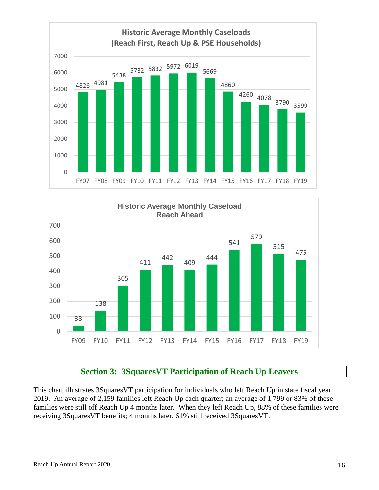



## **Section 3: 3SquaresVT Participation of Reach Up Leavers**

<span id="page-15-0"></span>This chart illustrates 3SquaresVT participation for individuals who left Reach Up in state fiscal year 2019. An average of 2,159 families left Reach Up each quarter; an average of 1,799 or 83% of these families were still off Reach Up 4 months later. When they left Reach Up, 88% of these families were receiving 3SquaresVT benefits; 4 months later, 61% still received 3SquaresVT.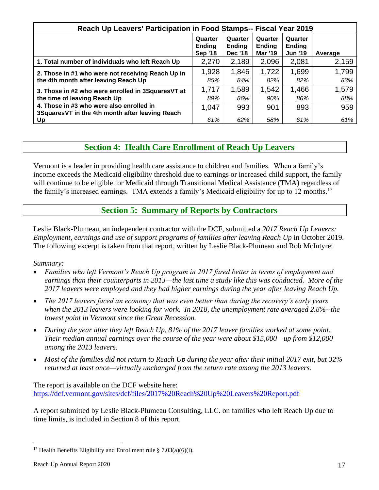| Reach Up Leavers' Participation in Food Stamps-- Fiscal Year 2019 |                                     |                                            |                                            |                                            |         |
|-------------------------------------------------------------------|-------------------------------------|--------------------------------------------|--------------------------------------------|--------------------------------------------|---------|
|                                                                   | Quarter<br>Ending<br><b>Sep '18</b> | Quarter<br><b>Ending</b><br><b>Dec '18</b> | Quarter<br><b>Ending</b><br><b>Mar '19</b> | Quarter<br><b>Ending</b><br><b>Jun '19</b> | Average |
| 1. Total number of individuals who left Reach Up                  | 2,270                               | 2,189                                      | 2,096                                      | 2,081                                      | 2,159   |
| 2. Those in #1 who were not receiving Reach Up in                 | 1,928                               | 1,846                                      | 1,722                                      | 1,699                                      | 1,799   |
| the 4th month after leaving Reach Up                              | 85%                                 | 84%                                        | 82%                                        | 82%                                        | 83%     |
| 3. Those in #2 who were enrolled in 3SquaresVT at                 | 1,717                               | 1,589                                      | 1,542                                      | 1,466                                      | 1,579   |
| the time of leaving Reach Up                                      | 89%                                 | 86%                                        | 90%                                        | 86%                                        | 88%     |
| 4. Those in #3 who were also enrolled in                          | 1,047                               | 993                                        | 901                                        | 893                                        | 959     |
| 3SquaresVT in the 4th month after leaving Reach                   |                                     |                                            |                                            |                                            |         |
| Up                                                                | 61%                                 | 62%                                        | 58%                                        | 61%                                        | 61%     |

## **Section 4: Health Care Enrollment of Reach Up Leavers**

<span id="page-16-0"></span>Vermont is a leader in providing health care assistance to children and families. When a family's income exceeds the Medicaid eligibility threshold due to earnings or increased child support, the family will continue to be eligible for Medicaid through Transitional Medical Assistance (TMA) regardless of the family's increased earnings. TMA extends a family's Medicaid eligibility for up to 12 months.<sup>17</sup>

## **Section 5: Summary of Reports by Contractors**

<span id="page-16-1"></span>Leslie Black-Plumeau, an independent contractor with the DCF, submitted a *2017 Reach Up Leavers: Employment, earnings and use of support programs of families after leaving Reach Up* in October 2019. The following excerpt is taken from that report, written by Leslie Black-Plumeau and Rob McIntyre:

#### *Summary:*

- *Families who left Vermont's Reach Up program in 2017 fared better in terms of employment and earnings than their counterparts in 2013—the last time a study like this was conducted. More of the 2017 leavers were employed and they had higher earnings during the year after leaving Reach Up.*
- *The 2017 leavers faced an economy that was even better than during the recovery's early years when the 2013 leavers were looking for work. In 2018, the unemployment rate averaged 2.8%--the lowest point in Vermont since the Great Recession.*
- *During the year after they left Reach Up, 81% of the 2017 leaver families worked at some point. Their median annual earnings over the course of the year were about \$15,000—up from \$12,000 among the 2013 leavers.*
- *Most of the families did not return to Reach Up during the year after their initial 2017 exit, but 32% returned at least once—virtually unchanged from the return rate among the 2013 leavers.*

The report is available on the DCF website here: <https://dcf.vermont.gov/sites/dcf/files/2017%20Reach%20Up%20Leavers%20Report.pdf>

A report submitted by Leslie Black-Plumeau Consulting, LLC. on families who left Reach Up due to time limits, is included in Section 8 of this report.

<sup>&</sup>lt;sup>17</sup> Health Benefits Eligibility and Enrollment rule § 7.03(a)(6)(i).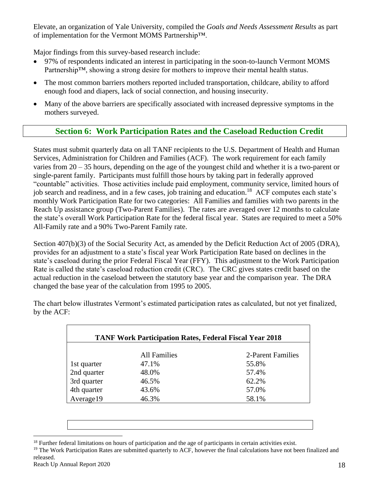Elevate, an organization of Yale University, compiled the *Goals and Needs Assessment Results* as part of implementation for the Vermont MOMS Partnership™.

Major findings from this survey-based research include:

- 97% of respondents indicated an interest in participating in the soon-to-launch Vermont MOMS Partnership™, showing a strong desire for mothers to improve their mental health status.
- The most common barriers mothers reported included transportation, childcare, ability to afford enough food and diapers, lack of social connection, and housing insecurity.
- Many of the above barriers are specifically associated with increased depressive symptoms in the mothers surveyed.

## **Section 6: Work Participation Rates and the Caseload Reduction Credit**

<span id="page-17-0"></span>States must submit quarterly data on all TANF recipients to the U.S. Department of Health and Human Services, Administration for Children and Families (ACF). The work requirement for each family varies from 20 – 35 hours, depending on the age of the youngest child and whether it is a two-parent or single-parent family. Participants must fulfill those hours by taking part in federally approved "countable" activities. Those activities include paid employment, community service, limited hours of job search and readiness, and in a few cases, job training and education.<sup>18</sup> ACF computes each state's monthly Work Participation Rate for two categories: All Families and families with two parents in the Reach Up assistance group (Two-Parent Families). The rates are averaged over 12 months to calculate the state's overall Work Participation Rate for the federal fiscal year. States are required to meet a 50% All-Family rate and a 90% Two-Parent Family rate.

Section 407(b)(3) of the Social Security Act, as amended by the Deficit Reduction Act of 2005 (DRA), provides for an adjustment to a state's fiscal year Work Participation Rate based on declines in the state's caseload during the prior Federal Fiscal Year (FFY). This adjustment to the Work Participation Rate is called the state's caseload reduction credit (CRC). The CRC gives states credit based on the actual reduction in the caseload between the statutory base year and the comparison year. The DRA changed the base year of the calculation from 1995 to 2005.

| <b>TANF Work Participation Rates, Federal Fiscal Year 2018</b> |                     |                   |  |  |
|----------------------------------------------------------------|---------------------|-------------------|--|--|
|                                                                | <b>All Families</b> | 2-Parent Families |  |  |
| 1st quarter                                                    | 47.1%               | 55.8%             |  |  |
| 2nd quarter                                                    | 48.0%               | 57.4%             |  |  |
| 3rd quarter                                                    | 46.5%               | 62.2%             |  |  |
| 4th quarter                                                    | 43.6%               | 57.0%             |  |  |
| Average19                                                      | 46.3%               | 58.1%             |  |  |

The chart below illustrates Vermont's estimated participation rates as calculated, but not yet finalized, by the ACF:

 $18$  Further federal limitations on hours of participation and the age of participants in certain activities exist.

<sup>&</sup>lt;sup>19</sup> The Work Participation Rates are submitted quarterly to ACF, however the final calculations have not been finalized and released.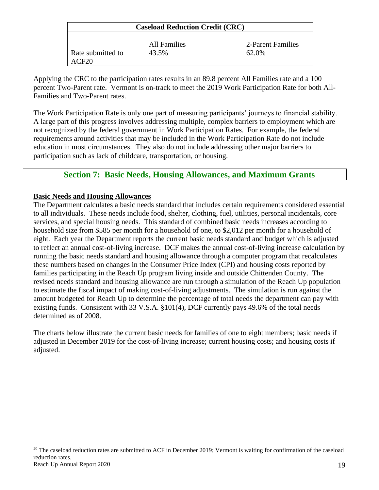| <b>Caseload Reduction Credit (CRC)</b> |              |                   |  |  |
|----------------------------------------|--------------|-------------------|--|--|
|                                        | All Families | 2-Parent Families |  |  |
| Rate submitted to                      | 43.5%        | 62.0%             |  |  |

Applying the CRC to the participation rates results in an 89.8 percent All Families rate and a 100 percent Two-Parent rate. Vermont is on-track to meet the 2019 Work Participation Rate for both All-Families and Two-Parent rates.

The Work Participation Rate is only one part of measuring participants' journeys to financial stability. A large part of this progress involves addressing multiple, complex barriers to employment which are not recognized by the federal government in Work Participation Rates. For example, the federal requirements around activities that may be included in the Work Participation Rate do not include education in most circumstances. They also do not include addressing other major barriers to participation such as lack of childcare, transportation, or housing.

## **Section 7: Basic Needs, Housing Allowances, and Maximum Grants**

#### <span id="page-18-0"></span>**Basic Needs and Housing Allowances**

ACF20

The Department calculates a basic needs standard that includes certain requirements considered essential to all individuals. These needs include food, shelter, clothing, fuel, utilities, personal incidentals, core services, and special housing needs. This standard of combined basic needs increases according to household size from \$585 per month for a household of one, to \$2,012 per month for a household of eight. Each year the Department reports the current basic needs standard and budget which is adjusted to reflect an annual cost-of-living increase. DCF makes the annual cost-of-living increase calculation by running the basic needs standard and housing allowance through a computer program that recalculates these numbers based on changes in the Consumer Price Index (CPI) and housing costs reported by families participating in the Reach Up program living inside and outside Chittenden County. The revised needs standard and housing allowance are run through a simulation of the Reach Up population to estimate the fiscal impact of making cost-of-living adjustments. The simulation is run against the amount budgeted for Reach Up to determine the percentage of total needs the department can pay with existing funds. Consistent with 33 V.S.A. §101(4), DCF currently pays 49.6% of the total needs determined as of 2008.

The charts below illustrate the current basic needs for families of one to eight members; basic needs if adjusted in December 2019 for the cost-of-living increase; current housing costs; and housing costs if adjusted.

Reach Up Annual Report 2020 19 <sup>20</sup> The caseload reduction rates are submitted to ACF in December 2019; Vermont is waiting for confirmation of the caseload reduction rates.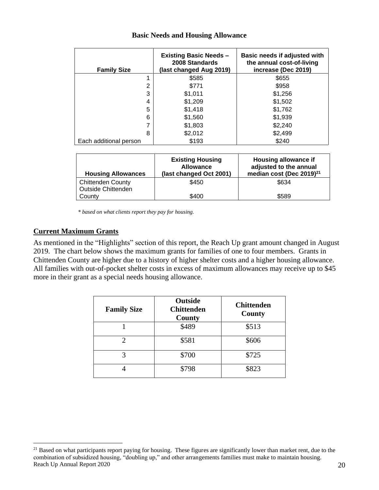| <b>Family Size</b>     | <b>Existing Basic Needs -</b><br>2008 Standards<br>(last changed Aug 2019) | Basic needs if adjusted with<br>the annual cost-of-living<br>increase (Dec 2019) |
|------------------------|----------------------------------------------------------------------------|----------------------------------------------------------------------------------|
|                        | \$585                                                                      | \$655                                                                            |
| 2                      | \$771                                                                      | \$958                                                                            |
| 3                      | \$1,011                                                                    | \$1,256                                                                          |
| 4                      | \$1,209                                                                    | \$1,502                                                                          |
| 5                      | \$1,418                                                                    | \$1,762                                                                          |
| 6                      | \$1,560                                                                    | \$1,939                                                                          |
| 7                      | \$1,803                                                                    | \$2,240                                                                          |
| 8                      | \$2,012                                                                    | \$2,499                                                                          |
| Each additional person | \$193                                                                      | \$240                                                                            |

#### **Basic Needs and Housing Allowance**

| <b>Housing Allowances</b> | <b>Existing Housing</b><br><b>Allowance</b><br>(last changed Oct 2001) | Housing allowance if<br>adjusted to the annual<br>median cost (Dec 2019) <sup>21</sup> |
|---------------------------|------------------------------------------------------------------------|----------------------------------------------------------------------------------------|
| <b>Chittenden County</b>  | \$450                                                                  | \$634                                                                                  |
| Outside Chittenden        |                                                                        |                                                                                        |
| County                    | \$400                                                                  | \$589                                                                                  |

*\* based on what clients report they pay for housing.*

#### **Current Maximum Grants**

As mentioned in the "Highlights" section of this report, the Reach Up grant amount changed in August 2019. The chart below shows the maximum grants for families of one to four members. Grants in Chittenden County are higher due to a history of higher shelter costs and a higher housing allowance. All families with out-of-pocket shelter costs in excess of maximum allowances may receive up to \$45 more in their grant as a special needs housing allowance.

| <b>Family Size</b> | <b>Outside</b><br><b>Chittenden</b><br>County | <b>Chittenden</b><br>County |
|--------------------|-----------------------------------------------|-----------------------------|
|                    | \$489                                         | \$513                       |
| 2                  | \$581                                         | \$606                       |
|                    | \$700                                         | \$725                       |
|                    | \$798                                         | \$823                       |

Reach Up Annual Report 2020 20 <sup>21</sup> Based on what participants report paying for housing. These figures are significantly lower than market rent, due to the combination of subsidized housing, "doubling up," and other arrangements families must make to maintain housing.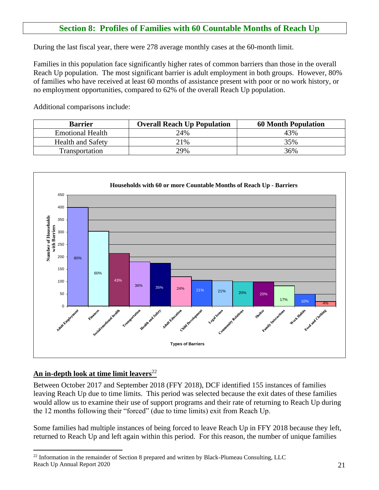## **Section 8: Profiles of Families with 60 Countable Months of Reach Up**

<span id="page-20-0"></span>During the last fiscal year, there were 278 average monthly cases at the 60-month limit.

Families in this population face significantly higher rates of common barriers than those in the overall Reach Up population. The most significant barrier is adult employment in both groups. However, 80% of families who have received at least 60 months of assistance present with poor or no work history, or no employment opportunities, compared to 62% of the overall Reach Up population.

Additional comparisons include:

| <b>Barrier</b>           | <b>Overall Reach Up Population</b> | <b>60 Month Population</b> |
|--------------------------|------------------------------------|----------------------------|
| <b>Emotional Health</b>  | 24%                                | 43%                        |
| <b>Health and Safety</b> | 21%                                | 35%                        |
| <b>Transportation</b>    | 29%                                | 36%                        |



### **An in-depth look at time limit leavers**<sup>22</sup>

Between October 2017 and September 2018 (FFY 2018), DCF identified 155 instances of families leaving Reach Up due to time limits. This period was selected because the exit dates of these families would allow us to examine their use of support programs and their rate of returning to Reach Up during the 12 months following their "forced" (due to time limits) exit from Reach Up.

Some families had multiple instances of being forced to leave Reach Up in FFY 2018 because they left, returned to Reach Up and left again within this period. For this reason, the number of unique families

Reach Up Annual Report 2020 21 <sup>22</sup> Information in the remainder of Section 8 prepared and written by Black-Plumeau Consulting, LLC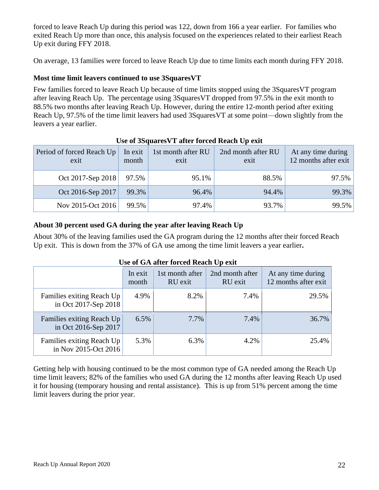forced to leave Reach Up during this period was 122, down from 166 a year earlier. For families who exited Reach Up more than once, this analysis focused on the experiences related to their earliest Reach Up exit during FFY 2018.

On average, 13 families were forced to leave Reach Up due to time limits each month during FFY 2018.

### **Most time limit leavers continued to use 3SquaresVT**

Few families forced to leave Reach Up because of time limits stopped using the 3SquaresVT program after leaving Reach Up. The percentage using 3SquaresVT dropped from 97.5% in the exit month to 88.5% two months after leaving Reach Up. However, during the entire 12-month period after exiting Reach Up, 97.5% of the time limit leavers had used 3SquaresVT at some point—down slightly from the leavers a year earlier.

| Period of forced Reach Up<br>exit | In exit<br>month | 1st month after RU<br>exit | 2nd month after RU<br>exit | At any time during<br>12 months after exit |
|-----------------------------------|------------------|----------------------------|----------------------------|--------------------------------------------|
| Oct 2017-Sep 2018                 | 97.5%            | 95.1%                      | 88.5%                      | $97.5\%$                                   |
| Oct 2016-Sep 2017                 | 99.3%            | 96.4%                      | 94.4%                      | 99.3%                                      |
| Nov 2015-Oct 2016                 | 99.5%            | 97.4%                      | 93.7%                      | $99.5\%$                                   |

### **Use of 3SquaresVT after forced Reach Up exit**

### **About 30 percent used GA during the year after leaving Reach Up**

About 30% of the leaving families used the GA program during the 12 months after their forced Reach Up exit. This is down from the 37% of GA use among the time limit leavers a year earlier**.** 

#### **Use of GA after forced Reach Up exit**

|                                                   | In exit<br>month | 1st month after<br>RU exit | 2nd month after<br>RU exit | At any time during<br>12 months after exit |
|---------------------------------------------------|------------------|----------------------------|----------------------------|--------------------------------------------|
| Families exiting Reach Up<br>in Oct 2017-Sep 2018 | 4.9%             | 8.2%                       | 7.4%                       | 29.5%                                      |
| Families exiting Reach Up<br>in Oct 2016-Sep 2017 | 6.5%             | 7.7%                       | 7.4%                       | 36.7%                                      |
| Families exiting Reach Up<br>in Nov 2015-Oct 2016 | 5.3%             | 6.3%                       | 4.2%                       | 25.4%                                      |

Getting help with housing continued to be the most common type of GA needed among the Reach Up time limit leavers; 82% of the families who used GA during the 12 months after leaving Reach Up used it for housing (temporary housing and rental assistance). This is up from 51% percent among the time limit leavers during the prior year.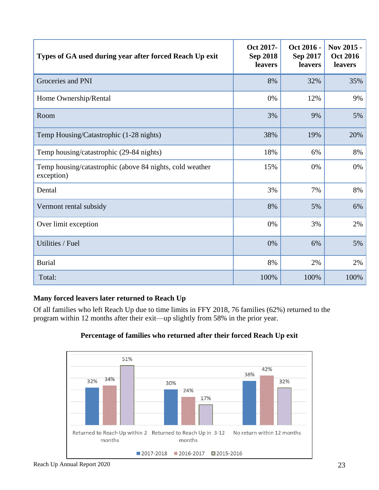| Types of GA used during year after forced Reach Up exit                | Oct 2017-<br><b>Sep 2018</b><br>leavers | Oct 2016 -<br>Sep 2017<br>leavers | Nov 2015 -<br><b>Oct 2016</b><br>leavers |
|------------------------------------------------------------------------|-----------------------------------------|-----------------------------------|------------------------------------------|
| Groceries and PNI                                                      | 8%                                      | 32%                               | 35%                                      |
| Home Ownership/Rental                                                  | 0%                                      | 12%                               | 9%                                       |
| Room                                                                   | 3%                                      | 9%                                | 5%                                       |
| Temp Housing/Catastrophic (1-28 nights)                                | 38%                                     | 19%                               | 20%                                      |
| Temp housing/catastrophic (29-84 nights)                               | 18%                                     | 6%                                | 8%                                       |
| Temp housing/catastrophic (above 84 nights, cold weather<br>exception) | 15%                                     | 0%                                | 0%                                       |
| Dental                                                                 | 3%                                      | 7%                                | 8%                                       |
| Vermont rental subsidy                                                 | 8%                                      | 5%                                | 6%                                       |
| Over limit exception                                                   | 0%                                      | 3%                                | 2%                                       |
| Utilities / Fuel                                                       | 0%                                      | 6%                                | 5%                                       |
| <b>Burial</b>                                                          | 8%                                      | 2%                                | 2%                                       |
| Total:                                                                 | 100%                                    | 100%                              | 100%                                     |

### **Many forced leavers later returned to Reach Up**

Of all families who left Reach Up due to time limits in FFY 2018, 76 families (62%) returned to the program within 12 months after their exit—up slightly from 58% in the prior year.





Reach Up Annual Report 2020 23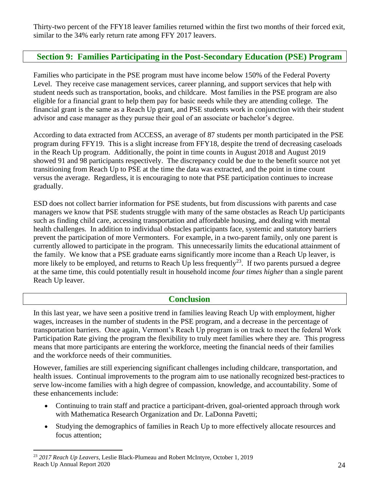Thirty-two percent of the FFY18 leaver families returned within the first two months of their forced exit, similar to the 34% early return rate among FFY 2017 leavers.

## <span id="page-23-0"></span>**Section 9: Families Participating in the Post-Secondary Education (PSE) Program**

Families who participate in the PSE program must have income below 150% of the Federal Poverty Level. They receive case management services, career planning, and support services that help with student needs such as transportation, books, and childcare. Most families in the PSE program are also eligible for a financial grant to help them pay for basic needs while they are attending college. The financial grant is the same as a Reach Up grant, and PSE students work in conjunction with their student advisor and case manager as they pursue their goal of an associate or bachelor's degree.

According to data extracted from ACCESS, an average of 87 students per month participated in the PSE program during FFY19. This is a slight increase from FFY18, despite the trend of decreasing caseloads in the Reach Up program. Additionally, the point in time counts in August 2018 and August 2019 showed 91 and 98 participants respectively. The discrepancy could be due to the benefit source not yet transitioning from Reach Up to PSE at the time the data was extracted, and the point in time count versus the average. Regardless, it is encouraging to note that PSE participation continues to increase gradually.

ESD does not collect barrier information for PSE students, but from discussions with parents and case managers we know that PSE students struggle with many of the same obstacles as Reach Up participants such as finding child care, accessing transportation and affordable housing, and dealing with mental health challenges. In addition to individual obstacles participants face, systemic and statutory barriers prevent the participation of more Vermonters. For example, in a two-parent family, only one parent is currently allowed to participate in the program. This unnecessarily limits the educational attainment of the family. We know that a PSE graduate earns significantly more income than a Reach Up leaver, is more likely to be employed, and returns to Reach Up less frequently<sup>23</sup>. If two parents pursued a degree at the same time, this could potentially result in household income *four times higher* than a single parent Reach Up leaver.

### **Conclusion**

<span id="page-23-1"></span>In this last year, we have seen a positive trend in families leaving Reach Up with employment, higher wages, increases in the number of students in the PSE program, and a decrease in the percentage of transportation barriers. Once again, Vermont's Reach Up program is on track to meet the federal Work Participation Rate giving the program the flexibility to truly meet families where they are. This progress means that more participants are entering the workforce, meeting the financial needs of their families and the workforce needs of their communities.

However, families are still experiencing significant challenges including childcare, transportation, and health issues. Continual improvements to the program aim to use nationally recognized best-practices to serve low-income families with a high degree of compassion, knowledge, and accountability. Some of these enhancements include:

- Continuing to train staff and practice a participant-driven, goal-oriented approach through work with Mathematica Research Organization and Dr. LaDonna Pavetti;
- Studying the demographics of families in Reach Up to more effectively allocate resources and focus attention;

Reach Up Annual Report 2020 24 <sup>23</sup> *2017 Reach Up Leavers,* Leslie Black-Plumeau and Robert McIntyre, October 1, 2019